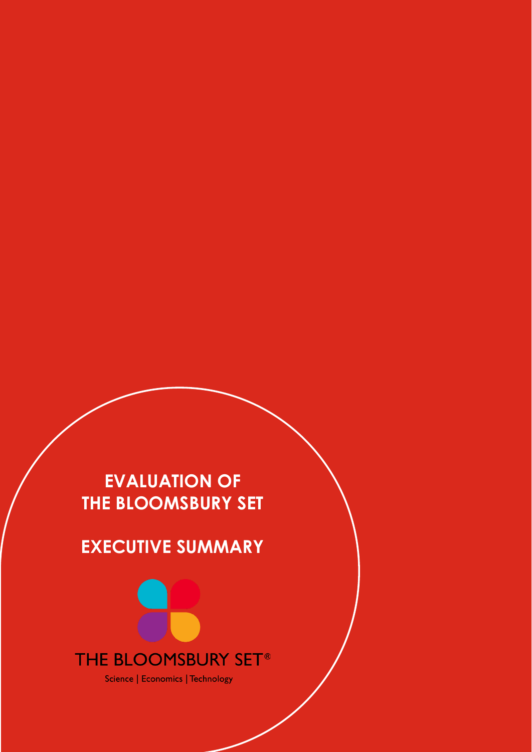# **EVALUATION OF THE BLOOMSBURY SET**

# **EXECUTIVE SUMMARY**



Science | Economics | Technology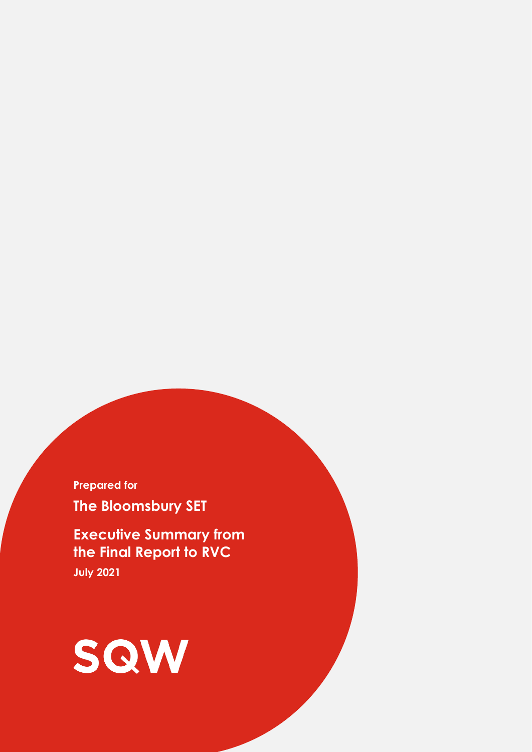**Prepared for The Bloomsbury SET**

**Executive Summary from the Final Report to RVC July 2021**

# SQW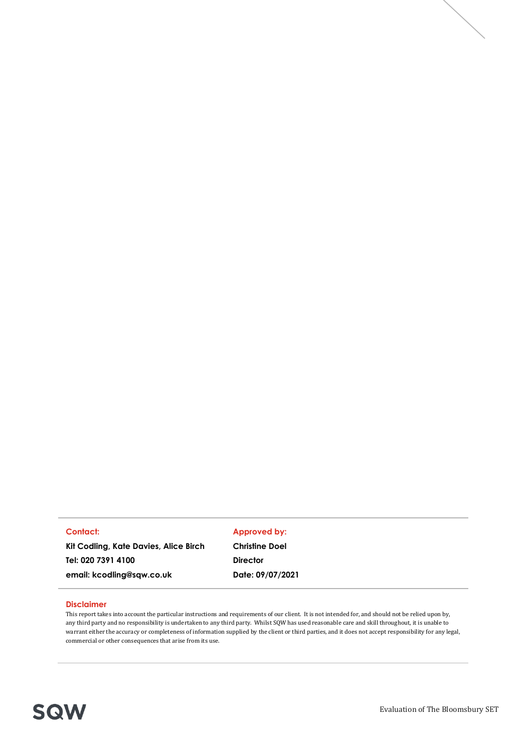#### **Contact:**

**Kit Codling, Kate Davies, Alice Birch Tel: 020 7391 4100**

**email: kcodling@sqw.co.uk** 

#### **Approved by:**

**Christine Doel Director Date: 09/07/2021**

#### **Disclaimer**

This report takes into account the particular instructions and requirements of our client. It is not intended for, and should not be relied upon by, any third party and no responsibility is undertaken to any third party. Whilst SQW has used reasonable care and skill throughout, it is unable to warrant either the accuracy or completeness of information supplied by the client or third parties, and it does not accept responsibility for any legal, commercial or other consequences that arise from its use.

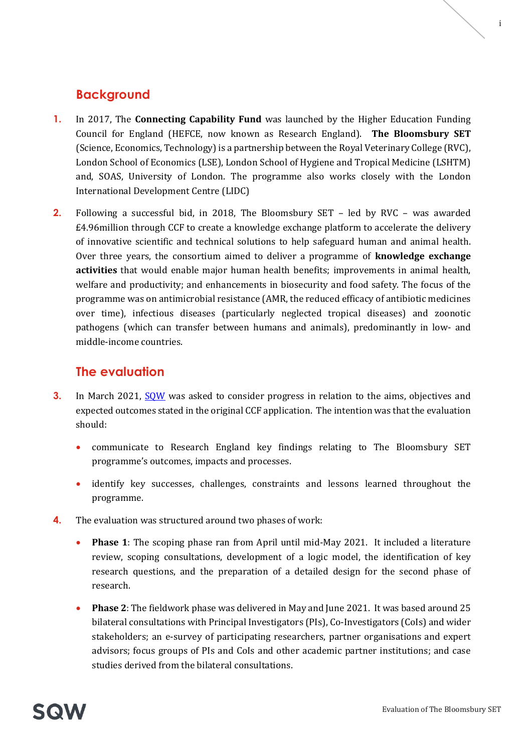## **Background**

- **1.** In 2017, The **Connecting Capability Fund** was launched by the Higher Education Funding Council for England (HEFCE, now known as Research England). **The Bloomsbury SET** (Science, Economics, Technology) is a partnership between the Royal Veterinary College (RVC), London School of Economics (LSE), London School of Hygiene and Tropical Medicine (LSHTM) and, SOAS, University of London. The programme also works closely with the London International Development Centre (LIDC)
- **2.** Following a successful bid, in 2018, The Bloomsbury SET led by RVC was awarded £4.96million through CCF to create a knowledge exchange platform to accelerate the delivery of innovative scientific and technical solutions to help safeguard human and animal health. Over three years, the consortium aimed to deliver a programme of **knowledge exchange activities** that would enable major human health benefits; improvements in animal health, welfare and productivity; and enhancements in biosecurity and food safety. The focus of the programme was on antimicrobial resistance (AMR, the reduced efficacy of antibiotic medicines over time), infectious diseases (particularly neglected tropical diseases) and zoonotic pathogens (which can transfer between humans and animals), predominantly in low- and middle-income countries.

## **The evaluation**

- **3.** In March 2021, [SQW](http://www.sqw.co.uk/) was asked to consider progress in relation to the aims, objectives and expected outcomes stated in the original CCF application. The intention was that the evaluation should:
	- communicate to Research England key findings relating to The Bloomsbury SET programme's outcomes, impacts and processes.
	- identify key successes, challenges, constraints and lessons learned throughout the programme.
- **4.** The evaluation was structured around two phases of work:
	- **Phase 1**: The scoping phase ran from April until mid-May 2021. It included a literature review, scoping consultations, development of a logic model, the identification of key research questions, and the preparation of a detailed design for the second phase of research.
	- **Phase 2**: The fieldwork phase was delivered in May and June 2021. It was based around 25 bilateral consultations with Principal Investigators (PIs), Co-Investigators (CoIs) and wider stakeholders; an e-survey of participating researchers, partner organisations and expert advisors; focus groups of PIs and CoIs and other academic partner institutions; and case studies derived from the bilateral consultations.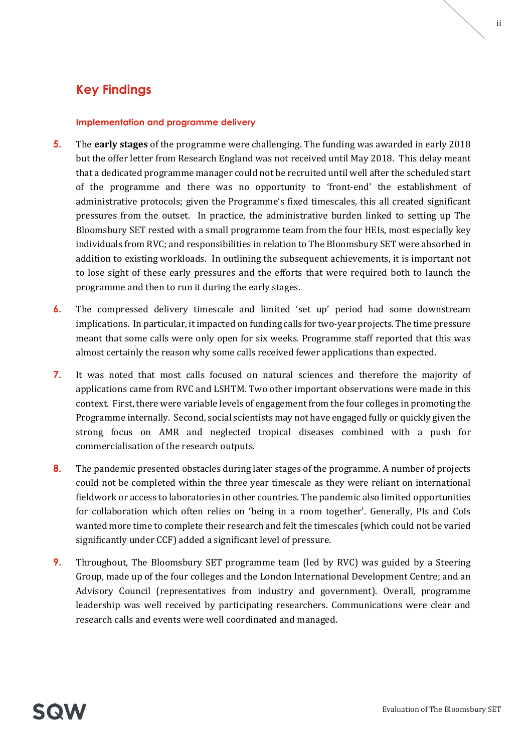# **Key Findings**

#### **Implementation and programme delivery**

- **5.** The **early stages** of the programme were challenging. The funding was awarded in early 2018 but the offer letter from Research England was not received until May 2018. This delay meant that a dedicated programme manager could not be recruited until well after the scheduled start of the programme and there was no opportunity to 'front-end' the establishment of administrative protocols; given the Programme's fixed timescales, this all created significant pressures from the outset. In practice, the administrative burden linked to setting up The Bloomsbury SET rested with a small programme team from the four HEIs, most especially key individuals from RVC; and responsibilities in relation to The Bloomsbury SET were absorbed in addition to existing workloads. In outlining the subsequent achievements, it is important not to lose sight of these early pressures and the efforts that were required both to launch the programme and then to run it during the early stages.
- **6.** The compressed delivery timescale and limited 'set up' period had some downstream implications. In particular, it impacted on funding calls for two-year projects. The time pressure meant that some calls were only open for six weeks. Programme staff reported that this was almost certainly the reason why some calls received fewer applications than expected.
- **7.** It was noted that most calls focused on natural sciences and therefore the majority of applications came from RVC and LSHTM. Two other important observations were made in this context. First, there were variable levels of engagement from the four colleges in promoting the Programme internally. Second, social scientists may not have engaged fully or quickly given the strong focus on AMR and neglected tropical diseases combined with a push for commercialisation of the research outputs.
- **8.** The pandemic presented obstacles during later stages of the programme. A number of projects could not be completed within the three year timescale as they were reliant on international fieldwork or access to laboratories in other countries. The pandemic also limited opportunities for collaboration which often relies on 'being in a room together'. Generally, PIs and CoIs wanted more time to complete their research and felt the timescales (which could not be varied significantly under CCF) added a significant level of pressure.
- **9.** Throughout, The Bloomsbury SET programme team (led by RVC) was guided by a Steering Group, made up of the four colleges and the London International Development Centre; and an Advisory Council (representatives from industry and government). Overall, programme leadership was well received by participating researchers. Communications were clear and research calls and events were well coordinated and managed.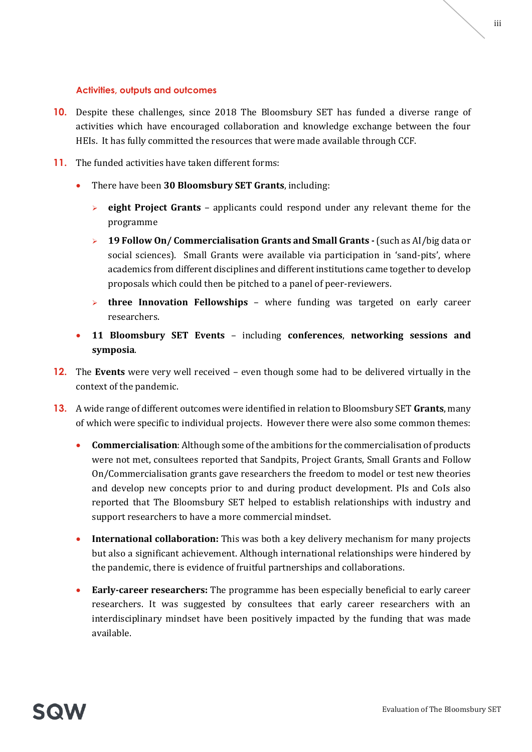#### **Activities, outputs and outcomes**

- **10.** Despite these challenges, since 2018 The Bloomsbury SET has funded a diverse range of activities which have encouraged collaboration and knowledge exchange between the four HEIs. It has fully committed the resources that were made available through CCF.
- **11.** The funded activities have taken different forms:
	- There have been **30 Bloomsbury SET Grants**, including:
		- ➢ **eight Project Grants** applicants could respond under any relevant theme for the programme
		- ➢ **19 Follow On/ Commercialisation Grants and Small Grants -** (such as AI/big data or social sciences). Small Grants were available via participation in 'sand-pits', where academics from different disciplines and different institutions came together to develop proposals which could then be pitched to a panel of peer-reviewers.
		- ➢ **three Innovation Fellowships** where funding was targeted on early career researchers.
	- **11 Bloomsbury SET Events** including **conferences**, **networking sessions and symposia**.
- **12.** The **Events** were very well received even though some had to be delivered virtually in the context of the pandemic.
- **13.** A wide range of different outcomes were identified in relation to Bloomsbury SET **Grants**, many of which were specific to individual projects. However there were also some common themes:
	- **Commercialisation**: Although some of the ambitions for the commercialisation of products were not met, consultees reported that Sandpits, Project Grants, Small Grants and Follow On/Commercialisation grants gave researchers the freedom to model or test new theories and develop new concepts prior to and during product development. PIs and CoIs also reported that The Bloomsbury SET helped to establish relationships with industry and support researchers to have a more commercial mindset.
	- **International collaboration:** This was both a key delivery mechanism for many projects but also a significant achievement. Although international relationships were hindered by the pandemic, there is evidence of fruitful partnerships and collaborations.
	- **Early-career researchers:** The programme has been especially beneficial to early career researchers. It was suggested by consultees that early career researchers with an interdisciplinary mindset have been positively impacted by the funding that was made available.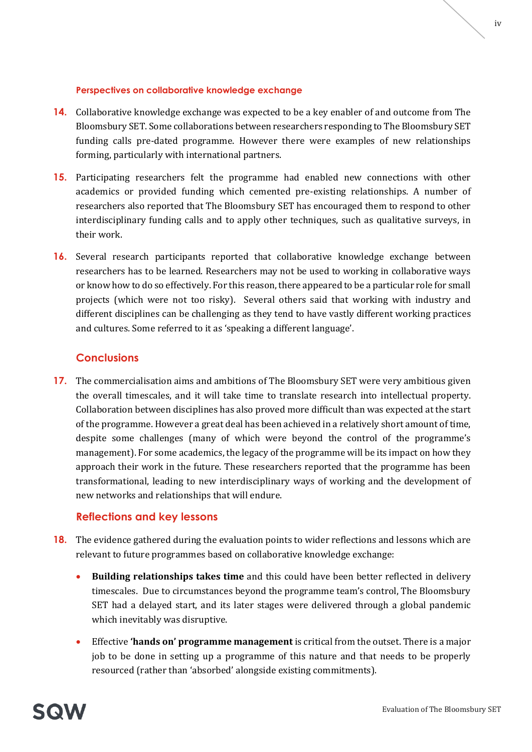#### **Perspectives on collaborative knowledge exchange**

- **14.** Collaborative knowledge exchange was expected to be a key enabler of and outcome from The Bloomsbury SET. Some collaborations between researchers responding to The Bloomsbury SET funding calls pre-dated programme. However there were examples of new relationships forming, particularly with international partners.
- **15.** Participating researchers felt the programme had enabled new connections with other academics or provided funding which cemented pre-existing relationships. A number of researchers also reported that The Bloomsbury SET has encouraged them to respond to other interdisciplinary funding calls and to apply other techniques, such as qualitative surveys, in their work.
- **16.** Several research participants reported that collaborative knowledge exchange between researchers has to be learned. Researchers may not be used to working in collaborative ways or know how to do so effectively. For this reason, there appeared to be a particular role for small projects (which were not too risky). Several others said that working with industry and different disciplines can be challenging as they tend to have vastly different working practices and cultures. Some referred to it as 'speaking a different language'.

#### **Conclusions**

**17.** The commercialisation aims and ambitions of The Bloomsbury SET were very ambitious given the overall timescales, and it will take time to translate research into intellectual property. Collaboration between disciplines has also proved more difficult than was expected at the start of the programme. However a great deal has been achieved in a relatively short amount of time, despite some challenges (many of which were beyond the control of the programme's management). For some academics, the legacy of the programme will be its impact on how they approach their work in the future. These researchers reported that the programme has been transformational, leading to new interdisciplinary ways of working and the development of new networks and relationships that will endure.

#### **Reflections and key lessons**

- **18.** The evidence gathered during the evaluation points to wider reflections and lessons which are relevant to future programmes based on collaborative knowledge exchange:
	- **Building relationships takes time** and this could have been better reflected in delivery timescales. Due to circumstances beyond the programme team's control, The Bloomsbury SET had a delayed start, and its later stages were delivered through a global pandemic which inevitably was disruptive.
	- Effective **'hands on' programme management** is critical from the outset. There is a major job to be done in setting up a programme of this nature and that needs to be properly resourced (rather than 'absorbed' alongside existing commitments).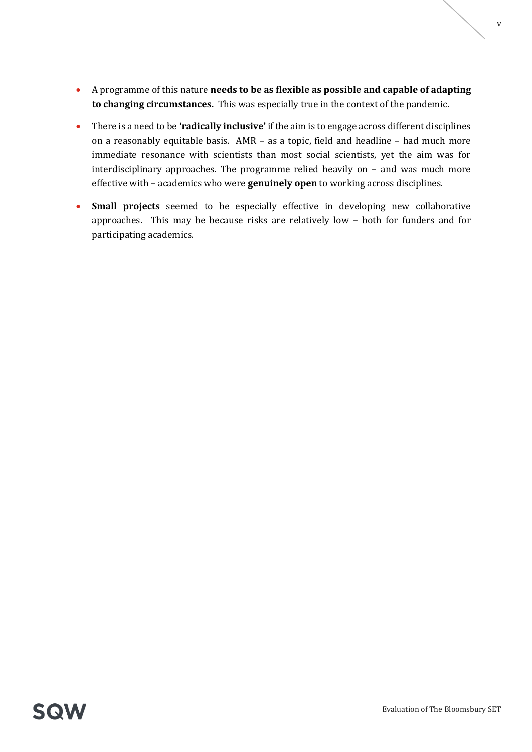- A programme of this nature **needs to be as flexible as possible and capable of adapting to changing circumstances.** This was especially true in the context of the pandemic.
- There is a need to be **'radically inclusive'** if the aim is to engage across different disciplines on a reasonably equitable basis. AMR – as a topic, field and headline – had much more immediate resonance with scientists than most social scientists, yet the aim was for interdisciplinary approaches. The programme relied heavily on – and was much more effective with – academics who were **genuinely open** to working across disciplines.
- **Small projects** seemed to be especially effective in developing new collaborative approaches. This may be because risks are relatively low – both for funders and for participating academics.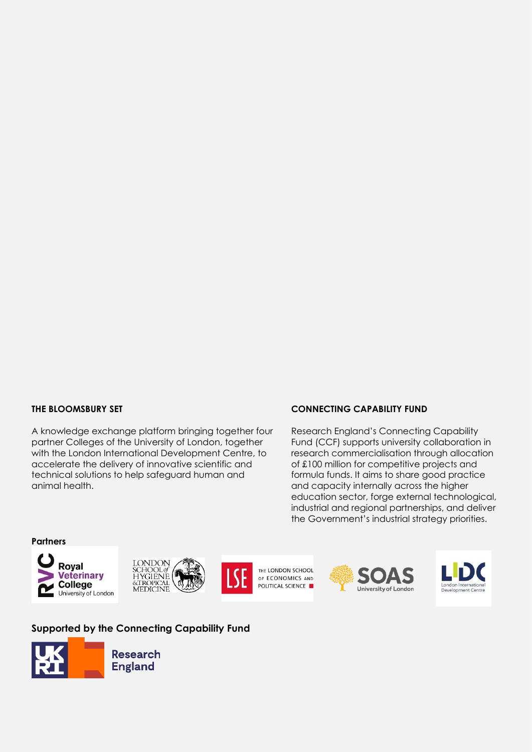#### **THE BLOOMSBURY SET**

A knowledge exchange platform bringing together four partner Colleges of the University of London, together with the London International Development Centre, to accelerate the delivery of innovative scientific and technical solutions to help safeguard human and animal health.

#### **CONNECTING CAPABILITY FUND**

Research England's Connecting Capability Fund (CCF) supports university collaboration in research commercialisation through allocation of £100 million for competitive projects and formula funds. It aims to share good practice and capacity internally across the higher education sector, forge external technological, industrial and regional partnerships, and deliver the Government's industrial strategy priorities.

**Partners**







THE LONDON SCHOOL OF ECONOMICS AND POLITICAL SCIENCE





#### **Supported by the Connecting Capability Fund**